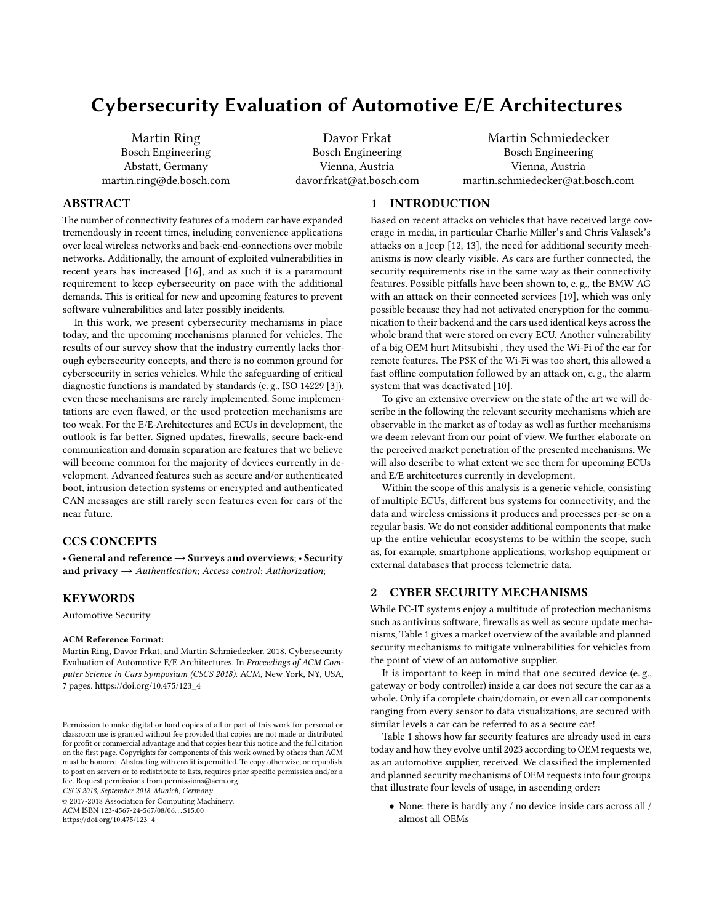# Cybersecurity Evaluation of Automotive E/E Architectures

Martin Ring Bosch Engineering Abstatt, Germany martin.ring@de.bosch.com

Davor Frkat Bosch Engineering Vienna, Austria davor.frkat@at.bosch.com

Martin Schmiedecker Bosch Engineering Vienna, Austria martin.schmiedecker@at.bosch.com

### ABSTRACT

The number of connectivity features of a modern car have expanded tremendously in recent times, including convenience applications over local wireless networks and back-end-connections over mobile networks. Additionally, the amount of exploited vulnerabilities in recent years has increased [\[16\]](#page-6-0), and as such it is a paramount requirement to keep cybersecurity on pace with the additional demands. This is critical for new and upcoming features to prevent software vulnerabilities and later possibly incidents.

In this work, we present cybersecurity mechanisms in place today, and the upcoming mechanisms planned for vehicles. The results of our survey show that the industry currently lacks thorough cybersecurity concepts, and there is no common ground for cybersecurity in series vehicles. While the safeguarding of critical diagnostic functions is mandated by standards (e. g., ISO 14229 [\[3\]](#page-6-1)), even these mechanisms are rarely implemented. Some implementations are even flawed, or the used protection mechanisms are too weak. For the E/E-Architectures and ECUs in development, the outlook is far better. Signed updates, firewalls, secure back-end communication and domain separation are features that we believe will become common for the majority of devices currently in development. Advanced features such as secure and/or authenticated boot, intrusion detection systems or encrypted and authenticated CAN messages are still rarely seen features even for cars of the near future.

### CCS CONCEPTS

• General and reference → Surveys and overviews; • Security and privacy  $\rightarrow$  Authentication; Access control; Authorization;

### **KEYWORDS**

Automotive Security

### ACM Reference Format:

Martin Ring, Davor Frkat, and Martin Schmiedecker. 2018. Cybersecurity Evaluation of Automotive E/E Architectures. In Proceedings of ACM Computer Science in Cars Symposium (CSCS 2018). ACM, New York, NY, USA, [7](#page-6-2) pages. [https://doi.org/10.475/123\\_4](https://doi.org/10.475/123_4)

CSCS 2018, September 2018, Munich, Germany

© 2017-2018 Association for Computing Machinery.

ACM ISBN 123-4567-24-567/08/06. . . \$15.00

[https://doi.org/10.475/123\\_4](https://doi.org/10.475/123_4)

### 1 INTRODUCTION

Based on recent attacks on vehicles that have received large coverage in media, in particular Charlie Miller's and Chris Valasek's attacks on a Jeep [\[12,](#page-6-3) [13\]](#page-6-4), the need for additional security mechanisms is now clearly visible. As cars are further connected, the security requirements rise in the same way as their connectivity features. Possible pitfalls have been shown to, e. g., the BMW AG with an attack on their connected services [\[19\]](#page-6-5), which was only possible because they had not activated encryption for the communication to their backend and the cars used identical keys across the whole brand that were stored on every ECU. Another vulnerability of a big OEM hurt Mitsubishi , they used the Wi-Fi of the car for remote features. The PSK of the Wi-Fi was too short, this allowed a fast offline computation followed by an attack on, e. g., the alarm system that was deactivated [\[10\]](#page-6-6).

To give an extensive overview on the state of the art we will describe in the following the relevant security mechanisms which are observable in the market as of today as well as further mechanisms we deem relevant from our point of view. We further elaborate on the perceived market penetration of the presented mechanisms. We will also describe to what extent we see them for upcoming ECUs and E/E architectures currently in development.

Within the scope of this analysis is a generic vehicle, consisting of multiple ECUs, different bus systems for connectivity, and the data and wireless emissions it produces and processes per-se on a regular basis. We do not consider additional components that make up the entire vehicular ecosystems to be within the scope, such as, for example, smartphone applications, workshop equipment or external databases that process telemetric data.

# 2 CYBER SECURITY MECHANISMS

While PC-IT systems enjoy a multitude of protection mechanisms such as antivirus software, firewalls as well as secure update mechanisms, Table [1](#page-2-0) gives a market overview of the available and planned security mechanisms to mitigate vulnerabilities for vehicles from the point of view of an automotive supplier.

It is important to keep in mind that one secured device (e. g., gateway or body controller) inside a car does not secure the car as a whole. Only if a complete chain/domain, or even all car components ranging from every sensor to data visualizations, are secured with similar levels a car can be referred to as a secure car!

Table [1](#page-2-0) shows how far security features are already used in cars today and how they evolve until 2023 according to OEM requests we, as an automotive supplier, received. We classified the implemented and planned security mechanisms of OEM requests into four groups that illustrate four levels of usage, in ascending order:

• None: there is hardly any / no device inside cars across all / almost all OEMs

Permission to make digital or hard copies of all or part of this work for personal or classroom use is granted without fee provided that copies are not made or distributed for profit or commercial advantage and that copies bear this notice and the full citation on the first page. Copyrights for components of this work owned by others than ACM must be honored. Abstracting with credit is permitted. To copy otherwise, or republish, to post on servers or to redistribute to lists, requires prior specific permission and/or a fee. Request permissions from permissions@acm.org.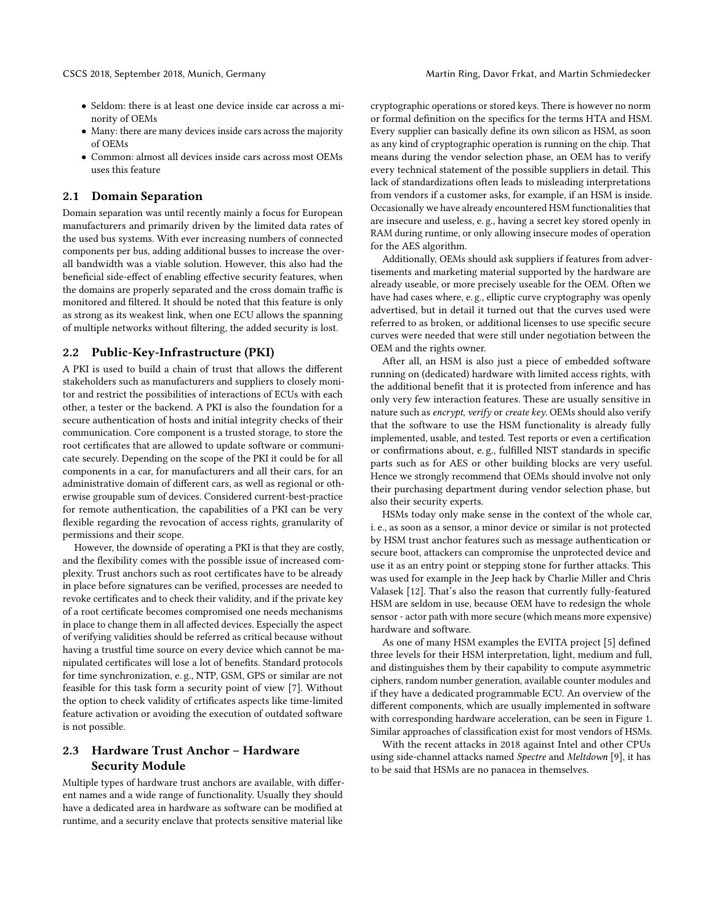- Seldom: there is at least one device inside car across a minority of OEMs
- Many: there are many devices inside cars across the majority of OEMs
- Common: almost all devices inside cars across most OEMs uses this feature

### <span id="page-1-0"></span>2.1 Domain Separation

Domain separation was until recently mainly a focus for European manufacturers and primarily driven by the limited data rates of the used bus systems. With ever increasing numbers of connected components per bus, adding additional busses to increase the overall bandwidth was a viable solution. However, this also had the beneficial side-effect of enabling effective security features, when the domains are properly separated and the cross domain traffic is monitored and filtered. It should be noted that this feature is only as strong as its weakest link, when one ECU allows the spanning of multiple networks without filtering, the added security is lost.

### <span id="page-1-1"></span>2.2 Public-Key-Infrastructure (PKI)

A PKI is used to build a chain of trust that allows the different stakeholders such as manufacturers and suppliers to closely monitor and restrict the possibilities of interactions of ECUs with each other, a tester or the backend. A PKI is also the foundation for a secure authentication of hosts and initial integrity checks of their communication. Core component is a trusted storage, to store the root certificates that are allowed to update software or communicate securely. Depending on the scope of the PKI it could be for all components in a car, for manufacturers and all their cars, for an administrative domain of different cars, as well as regional or otherwise groupable sum of devices. Considered current-best-practice for remote authentication, the capabilities of a PKI can be very flexible regarding the revocation of access rights, granularity of permissions and their scope.

However, the downside of operating a PKI is that they are costly, and the flexibility comes with the possible issue of increased complexity. Trust anchors such as root certificates have to be already in place before signatures can be verified, processes are needed to revoke certificates and to check their validity, and if the private key of a root certificate becomes compromised one needs mechanisms in place to change them in all affected devices. Especially the aspect of verifying validities should be referred as critical because without having a trustful time source on every device which cannot be manipulated certificates will lose a lot of benefits. Standard protocols for time synchronization, e. g., NTP, GSM, GPS or similar are not feasible for this task form a security point of view [\[7\]](#page-6-7). Without the option to check validity of crtificates aspects like time-limited feature activation or avoiding the execution of outdated software is not possible.

# <span id="page-1-2"></span>2.3 Hardware Trust Anchor – Hardware Security Module

Multiple types of hardware trust anchors are available, with different names and a wide range of functionality. Usually they should have a dedicated area in hardware as software can be modified at runtime, and a security enclave that protects sensitive material like

cryptographic operations or stored keys. There is however no norm or formal definition on the specifics for the terms HTA and HSM. Every supplier can basically define its own silicon as HSM, as soon as any kind of cryptographic operation is running on the chip. That means during the vendor selection phase, an OEM has to verify every technical statement of the possible suppliers in detail. This lack of standardizations often leads to misleading interpretations from vendors if a customer asks, for example, if an HSM is inside. Occasionally we have already encountered HSM functionalities that are insecure and useless, e. g., having a secret key stored openly in RAM during runtime, or only allowing insecure modes of operation for the AES algorithm.

Additionally, OEMs should ask suppliers if features from advertisements and marketing material supported by the hardware are already useable, or more precisely useable for the OEM. Often we have had cases where, e. g., elliptic curve cryptography was openly advertised, but in detail it turned out that the curves used were referred to as broken, or additional licenses to use specific secure curves were needed that were still under negotiation between the OEM and the rights owner.

After all, an HSM is also just a piece of embedded software running on (dedicated) hardware with limited access rights, with the additional benefit that it is protected from inference and has only very few interaction features. These are usually sensitive in nature such as encrypt, verify or create key. OEMs should also verify that the software to use the HSM functionality is already fully implemented, usable, and tested. Test reports or even a certification or confirmations about, e. g., fulfilled NIST standards in specific parts such as for AES or other building blocks are very useful. Hence we strongly recommend that OEMs should involve not only their purchasing department during vendor selection phase, but also their security experts.

HSMs today only make sense in the context of the whole car, i. e., as soon as a sensor, a minor device or similar is not protected by HSM trust anchor features such as message authentication or secure boot, attackers can compromise the unprotected device and use it as an entry point or stepping stone for further attacks. This was used for example in the Jeep hack by Charlie Miller and Chris Valasek [\[12\]](#page-6-3). That's also the reason that currently fully-featured HSM are seldom in use, because OEM have to redesign the whole sensor - actor path with more secure (which means more expensive) hardware and software.

As one of many HSM examples the EVITA project [\[5\]](#page-6-8) defined three levels for their HSM interpretation, light, medium and full, and distinguishes them by their capability to compute asymmetric ciphers, random number generation, available counter modules and if they have a dedicated programmable ECU. An overview of the different components, which are usually implemented in software with corresponding hardware acceleration, can be seen in Figure [1.](#page-2-1) Similar approaches of classification exist for most vendors of HSMs.

With the recent attacks in 2018 against Intel and other CPUs using side-channel attacks named Spectre and Meltdown [\[9\]](#page-6-9), it has to be said that HSMs are no panacea in themselves.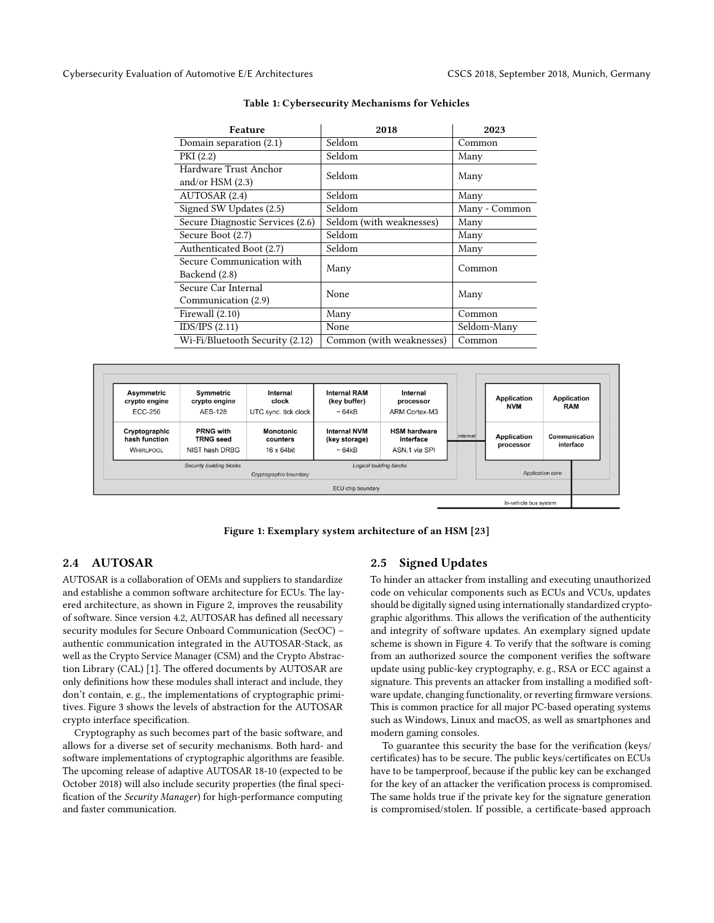<span id="page-2-0"></span>

| Feature                          | 2018                     | 2023          |
|----------------------------------|--------------------------|---------------|
| Domain separation $(2.1)$        | Seldom                   | Common        |
| PKI (2.2)                        | Seldom                   | Many          |
| Hardware Trust Anchor            | Seldom                   | Many          |
| and/or HSM $(2.3)$               |                          |               |
| AUTOSAR (2.4)                    | Seldom                   | Many          |
| Signed SW Updates (2.5)          | Seldom                   | Many - Common |
| Secure Diagnostic Services (2.6) | Seldom (with weaknesses) | Many          |
| Secure Boot (2.7)                | Seldom                   | Many          |
| Authenticated Boot (2.7)         | Seldom                   | Many          |
| Secure Communication with        | Many                     | Common        |
| Backend (2.8)                    |                          |               |
| Secure Car Internal              | None                     | Many          |
| Communication (2.9)              |                          |               |
| Firewall (2.10)                  | Many                     | Common        |
| IDS/IPS(2.11)                    | None                     | Seldom-Many   |
| Wi-Fi/Bluetooth Security (2.12)  | Common (with weaknesses) | Common        |

### Table 1: Cybersecurity Mechanisms for Vehicles

<span id="page-2-1"></span>

Figure 1: Exemplary system architecture of an HSM [\[23\]](#page-6-10)

### <span id="page-2-2"></span>2.4 AUTOSAR

AUTOSAR is a collaboration of OEMs and suppliers to standardize and establishe a common software architecture for ECUs. The layered architecture, as shown in Figure [2,](#page-3-2) improves the reusability of software. Since version 4.2, AUTOSAR has defined all necessary security modules for Secure Onboard Communication (SecOC) – authentic communication integrated in the AUTOSAR-Stack, as well as the Crypto Service Manager (CSM) and the Crypto Abstraction Library (CAL) [\[1\]](#page-6-11). The offered documents by AUTOSAR are only definitions how these modules shall interact and include, they don't contain, e. g., the implementations of cryptographic primitives. Figure [3](#page-3-3) shows the levels of abstraction for the AUTOSAR crypto interface specification.

Cryptography as such becomes part of the basic software, and allows for a diverse set of security mechanisms. Both hard- and software implementations of cryptographic algorithms are feasible. The upcoming release of adaptive AUTOSAR 18-10 (expected to be October 2018) will also include security properties (the final specification of the Security Manager) for high-performance computing and faster communication.

# <span id="page-2-3"></span>2.5 Signed Updates

To hinder an attacker from installing and executing unauthorized code on vehicular components such as ECUs and VCUs, updates should be digitally signed using internationally standardized cryptographic algorithms. This allows the verification of the authenticity and integrity of software updates. An exemplary signed update scheme is shown in Figure [4.](#page-3-4) To verify that the software is coming from an authorized source the component verifies the software update using public-key cryptography, e. g., RSA or ECC against a signature. This prevents an attacker from installing a modified software update, changing functionality, or reverting firmware versions. This is common practice for all major PC-based operating systems such as Windows, Linux and macOS, as well as smartphones and modern gaming consoles.

To guarantee this security the base for the verification (keys/ certificates) has to be secure. The public keys/certificates on ECUs have to be tamperproof, because if the public key can be exchanged for the key of an attacker the verification process is compromised. The same holds true if the private key for the signature generation is compromised/stolen. If possible, a certificate-based approach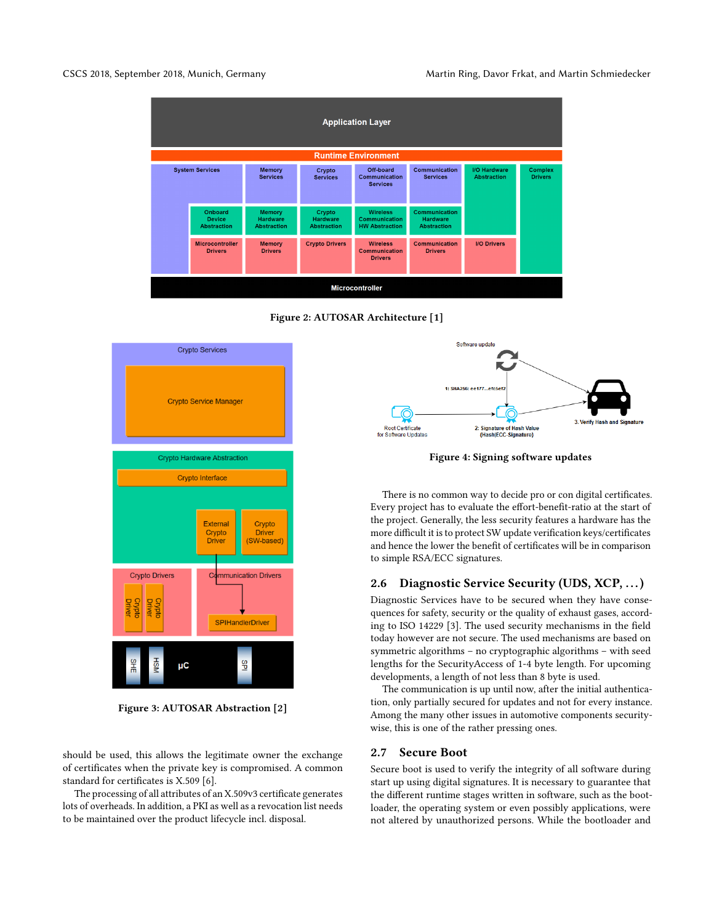<span id="page-3-2"></span>CSCS 2018, September 2018, Munich, Germany Martin Ring, Davor Frkat, and Martin Schmiedecker



Figure 2: AUTOSAR Architecture [\[1\]](#page-6-11)

<span id="page-3-3"></span>

Figure 3: AUTOSAR Abstraction [\[2\]](#page-6-12)

should be used, this allows the legitimate owner the exchange of certificates when the private key is compromised. A common standard for certificates is X.509 [\[6\]](#page-6-13).

The processing of all attributes of an X.509v3 certificate generates lots of overheads. In addition, a PKI as well as a revocation list needs to be maintained over the product lifecycle incl. disposal.

<span id="page-3-4"></span>

Figure 4: Signing software updates

There is no common way to decide pro or con digital certificates. Every project has to evaluate the effort-benefit-ratio at the start of the project. Generally, the less security features a hardware has the more difficult it is to protect SW update verification keys/certificates and hence the lower the benefit of certificates will be in comparison to simple RSA/ECC signatures.

## <span id="page-3-0"></span>2.6 Diagnostic Service Security (UDS, XCP, ...)

Diagnostic Services have to be secured when they have consequences for safety, security or the quality of exhaust gases, according to ISO 14229 [\[3\]](#page-6-1). The used security mechanisms in the field today however are not secure. The used mechanisms are based on symmetric algorithms – no cryptographic algorithms – with seed lengths for the SecurityAccess of 1-4 byte length. For upcoming developments, a length of not less than 8 byte is used.

The communication is up until now, after the initial authentication, only partially secured for updates and not for every instance. Among the many other issues in automotive components securitywise, this is one of the rather pressing ones.

### <span id="page-3-1"></span>2.7 Secure Boot

Secure boot is used to verify the integrity of all software during start up using digital signatures. It is necessary to guarantee that the different runtime stages written in software, such as the bootloader, the operating system or even possibly applications, were not altered by unauthorized persons. While the bootloader and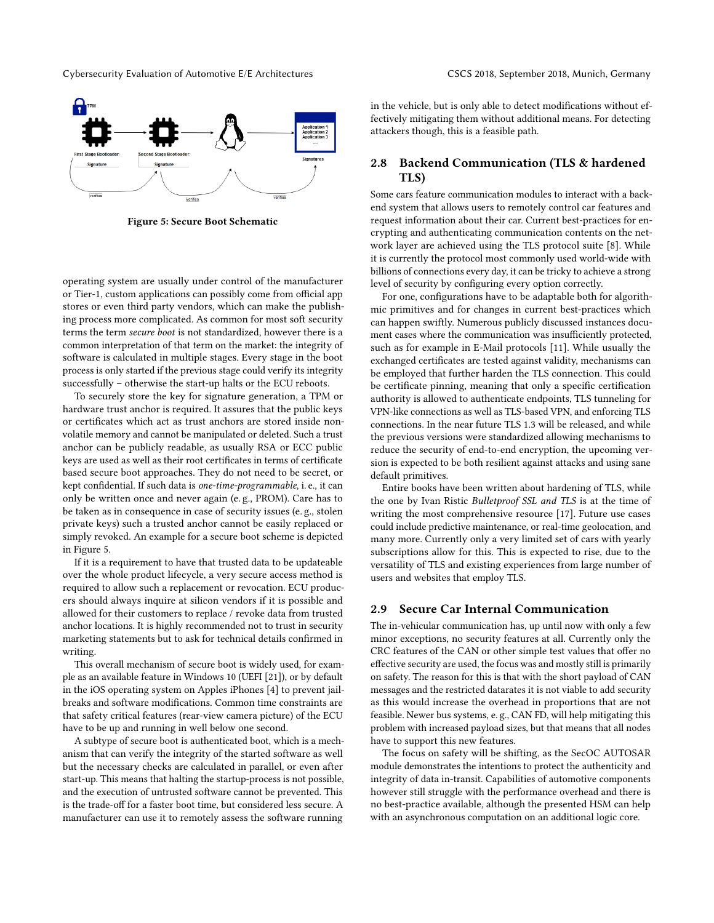Cybersecurity Evaluation of Automotive E/E Architectures CSCS 2018, September 2018, Munich, Germany

<span id="page-4-2"></span>

Figure 5: Secure Boot Schematic

operating system are usually under control of the manufacturer or Tier-1, custom applications can possibly come from official app stores or even third party vendors, which can make the publishing process more complicated. As common for most soft security terms the term secure boot is not standardized, however there is a common interpretation of that term on the market: the integrity of software is calculated in multiple stages. Every stage in the boot process is only started if the previous stage could verify its integrity successfully – otherwise the start-up halts or the ECU reboots.

To securely store the key for signature generation, a TPM or hardware trust anchor is required. It assures that the public keys or certificates which act as trust anchors are stored inside nonvolatile memory and cannot be manipulated or deleted. Such a trust anchor can be publicly readable, as usually RSA or ECC public keys are used as well as their root certificates in terms of certificate based secure boot approaches. They do not need to be secret, or kept confidential. If such data is one-time-programmable, i. e., it can only be written once and never again (e. g., PROM). Care has to be taken as in consequence in case of security issues (e. g., stolen private keys) such a trusted anchor cannot be easily replaced or simply revoked. An example for a secure boot scheme is depicted in Figure [5.](#page-4-2)

If it is a requirement to have that trusted data to be updateable over the whole product lifecycle, a very secure access method is required to allow such a replacement or revocation. ECU producers should always inquire at silicon vendors if it is possible and allowed for their customers to replace / revoke data from trusted anchor locations. It is highly recommended not to trust in security marketing statements but to ask for technical details confirmed in writing.

This overall mechanism of secure boot is widely used, for example as an available feature in Windows 10 (UEFI [\[21\]](#page-6-14)), or by default in the iOS operating system on Apples iPhones [\[4\]](#page-6-15) to prevent jailbreaks and software modifications. Common time constraints are that safety critical features (rear-view camera picture) of the ECU have to be up and running in well below one second.

A subtype of secure boot is authenticated boot, which is a mechanism that can verify the integrity of the started software as well but the necessary checks are calculated in parallel, or even after start-up. This means that halting the startup-process is not possible, and the execution of untrusted software cannot be prevented. This is the trade-off for a faster boot time, but considered less secure. A manufacturer can use it to remotely assess the software running

in the vehicle, but is only able to detect modifications without effectively mitigating them without additional means. For detecting attackers though, this is a feasible path.

## <span id="page-4-0"></span>2.8 Backend Communication (TLS & hardened TLS)

Some cars feature communication modules to interact with a backend system that allows users to remotely control car features and request information about their car. Current best-practices for encrypting and authenticating communication contents on the network layer are achieved using the TLS protocol suite [\[8\]](#page-6-16). While it is currently the protocol most commonly used world-wide with billions of connections every day, it can be tricky to achieve a strong level of security by configuring every option correctly.

For one, configurations have to be adaptable both for algorithmic primitives and for changes in current best-practices which can happen swiftly. Numerous publicly discussed instances document cases where the communication was insufficiently protected, such as for example in E-Mail protocols [\[11\]](#page-6-17). While usually the exchanged certificates are tested against validity, mechanisms can be employed that further harden the TLS connection. This could be certificate pinning, meaning that only a specific certification authority is allowed to authenticate endpoints, TLS tunneling for VPN-like connections as well as TLS-based VPN, and enforcing TLS connections. In the near future TLS 1.3 will be released, and while the previous versions were standardized allowing mechanisms to reduce the security of end-to-end encryption, the upcoming version is expected to be both resilient against attacks and using sane default primitives.

Entire books have been written about hardening of TLS, while the one by Ivan Ristic Bulletproof SSL and TLS is at the time of writing the most comprehensive resource [\[17\]](#page-6-18). Future use cases could include predictive maintenance, or real-time geolocation, and many more. Currently only a very limited set of cars with yearly subscriptions allow for this. This is expected to rise, due to the versatility of TLS and existing experiences from large number of users and websites that employ TLS.

### <span id="page-4-1"></span>2.9 Secure Car Internal Communication

The in-vehicular communication has, up until now with only a few minor exceptions, no security features at all. Currently only the CRC features of the CAN or other simple test values that offer no effective security are used, the focus was and mostly still is primarily on safety. The reason for this is that with the short payload of CAN messages and the restricted datarates it is not viable to add security as this would increase the overhead in proportions that are not feasible. Newer bus systems, e. g., CAN FD, will help mitigating this problem with increased payload sizes, but that means that all nodes have to support this new features.

The focus on safety will be shifting, as the SecOC AUTOSAR module demonstrates the intentions to protect the authenticity and integrity of data in-transit. Capabilities of automotive components however still struggle with the performance overhead and there is no best-practice available, although the presented HSM can help with an asynchronous computation on an additional logic core.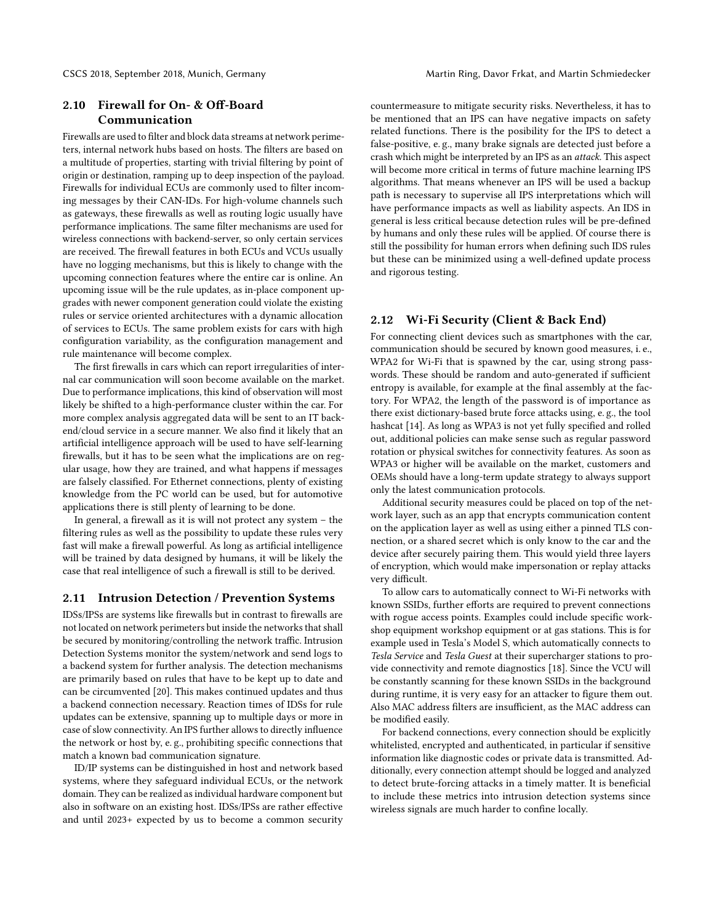# <span id="page-5-0"></span>2.10 Firewall for On- & Off-Board Communication

Firewalls are used to filter and block data streams at network perimeters, internal network hubs based on hosts. The filters are based on a multitude of properties, starting with trivial filtering by point of origin or destination, ramping up to deep inspection of the payload. Firewalls for individual ECUs are commonly used to filter incoming messages by their CAN-IDs. For high-volume channels such as gateways, these firewalls as well as routing logic usually have performance implications. The same filter mechanisms are used for wireless connections with backend-server, so only certain services are received. The firewall features in both ECUs and VCUs usually have no logging mechanisms, but this is likely to change with the upcoming connection features where the entire car is online. An upcoming issue will be the rule updates, as in-place component upgrades with newer component generation could violate the existing rules or service oriented architectures with a dynamic allocation of services to ECUs. The same problem exists for cars with high configuration variability, as the configuration management and rule maintenance will become complex.

The first firewalls in cars which can report irregularities of internal car communication will soon become available on the market. Due to performance implications, this kind of observation will most likely be shifted to a high-performance cluster within the car. For more complex analysis aggregated data will be sent to an IT backend/cloud service in a secure manner. We also find it likely that an artificial intelligence approach will be used to have self-learning firewalls, but it has to be seen what the implications are on regular usage, how they are trained, and what happens if messages are falsely classified. For Ethernet connections, plenty of existing knowledge from the PC world can be used, but for automotive applications there is still plenty of learning to be done.

In general, a firewall as it is will not protect any system – the filtering rules as well as the possibility to update these rules very fast will make a firewall powerful. As long as artificial intelligence will be trained by data designed by humans, it will be likely the case that real intelligence of such a firewall is still to be derived.

### <span id="page-5-1"></span>2.11 Intrusion Detection / Prevention Systems

IDSs/IPSs are systems like firewalls but in contrast to firewalls are not located on network perimeters but inside the networks that shall be secured by monitoring/controlling the network traffic. Intrusion Detection Systems monitor the system/network and send logs to a backend system for further analysis. The detection mechanisms are primarily based on rules that have to be kept up to date and can be circumvented [\[20\]](#page-6-19). This makes continued updates and thus a backend connection necessary. Reaction times of IDSs for rule updates can be extensive, spanning up to multiple days or more in case of slow connectivity. An IPS further allows to directly influence the network or host by, e. g., prohibiting specific connections that match a known bad communication signature.

ID/IP systems can be distinguished in host and network based systems, where they safeguard individual ECUs, or the network domain. They can be realized as individual hardware component but also in software on an existing host. IDSs/IPSs are rather effective and until 2023+ expected by us to become a common security countermeasure to mitigate security risks. Nevertheless, it has to be mentioned that an IPS can have negative impacts on safety related functions. There is the posibility for the IPS to detect a false-positive, e. g., many brake signals are detected just before a crash which might be interpreted by an IPS as an attack. This aspect will become more critical in terms of future machine learning IPS algorithms. That means whenever an IPS will be used a backup path is necessary to supervise all IPS interpretations which will have performance impacts as well as liability aspects. An IDS in general is less critical because detection rules will be pre-defined by humans and only these rules will be applied. Of course there is still the possibility for human errors when defining such IDS rules but these can be minimized using a well-defined update process and rigorous testing.

## <span id="page-5-2"></span>2.12 Wi-Fi Security (Client & Back End)

For connecting client devices such as smartphones with the car, communication should be secured by known good measures, i. e., WPA2 for Wi-Fi that is spawned by the car, using strong passwords. These should be random and auto-generated if sufficient entropy is available, for example at the final assembly at the factory. For WPA2, the length of the password is of importance as there exist dictionary-based brute force attacks using, e. g., the tool hashcat [\[14\]](#page-6-20). As long as WPA3 is not yet fully specified and rolled out, additional policies can make sense such as regular password rotation or physical switches for connectivity features. As soon as WPA3 or higher will be available on the market, customers and OEMs should have a long-term update strategy to always support only the latest communication protocols.

Additional security measures could be placed on top of the network layer, such as an app that encrypts communication content on the application layer as well as using either a pinned TLS connection, or a shared secret which is only know to the car and the device after securely pairing them. This would yield three layers of encryption, which would make impersonation or replay attacks very difficult.

To allow cars to automatically connect to Wi-Fi networks with known SSIDs, further efforts are required to prevent connections with rogue access points. Examples could include specific workshop equipment workshop equipment or at gas stations. This is for example used in Tesla's Model S, which automatically connects to Tesla Service and Tesla Guest at their supercharger stations to provide connectivity and remote diagnostics [\[18\]](#page-6-21). Since the VCU will be constantly scanning for these known SSIDs in the background during runtime, it is very easy for an attacker to figure them out. Also MAC address filters are insufficient, as the MAC address can be modified easily.

For backend connections, every connection should be explicitly whitelisted, encrypted and authenticated, in particular if sensitive information like diagnostic codes or private data is transmitted. Additionally, every connection attempt should be logged and analyzed to detect brute-forcing attacks in a timely matter. It is beneficial to include these metrics into intrusion detection systems since wireless signals are much harder to confine locally.